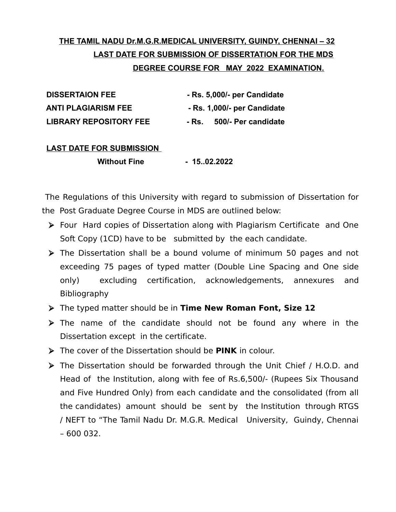# **THE TAMIL NADU Dr.M.G.R.MEDICAL UNIVERSITY, GUINDY, CHENNAI – 32 LAST DATE FOR SUBMISSION OF DISSERTATION FOR THE MDS DEGREE COURSE FOR MAY 2022 EXAMINATION.**

| <b>DISSERTAION FEE</b>        | - Rs. 5,000/- per Candidate    |
|-------------------------------|--------------------------------|
| <b>ANTI PLAGIARISM FEE</b>    | - Rs. 1,000/- per Candidate    |
| <b>LIBRARY REPOSITORY FEE</b> | 500/- Per candidate<br>- Rs. . |

#### **LAST DATE FOR SUBMISSION**

**Without Fine 45.02.2022** 

 The Regulations of this University with regard to submission of Dissertation for the Post Graduate Degree Course in MDS are outlined below:

- ➢ Four Hard copies of Dissertation along with Plagiarism Certificate and One Soft Copy (1CD) have to be submitted by the each candidate.
- ➢ The Dissertation shall be a bound volume of minimum 50 pages and not exceeding 75 pages of typed matter (Double Line Spacing and One side only) excluding certification, acknowledgements, annexures and Bibliography
- ➢ The typed matter should be in **Time New Roman Font, Size 12**
- ➢ The name of the candidate should not be found any where in the Dissertation except in the certificate.
- ➢ The cover of the Dissertation should be **PINK** in colour.
- ➢ The Dissertation should be forwarded through the Unit Chief / H.O.D. and Head of the Institution, along with fee of Rs.6,500/- (Rupees Six Thousand and Five Hundred Only) from each candidate and the consolidated (from all the candidates) amount should be sent by the Institution through RTGS / NEFT to "The Tamil Nadu Dr. M.G.R. Medical University, Guindy, Chennai – 600 032.